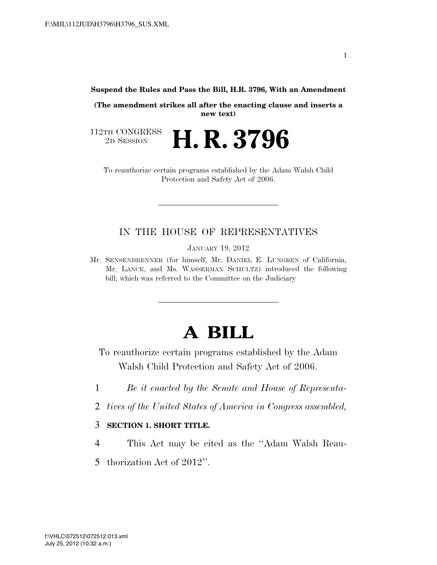**Suspend the Rules and Pass the Bill, H.R. 3796, With an Amendment** 

**(The amendment strikes all after the enacting clause and inserts a new text)** 

112TH CONGRESS<br>2D SESSION 2D SESSION **H. R. 3796**

To reauthorize certain programs established by the Adam Walsh Child Protection and Safety Act of 2006.

## IN THE HOUSE OF REPRESENTATIVES

JANUARY 19, 2012

Mr. SENSENBRENNER (for himself, Mr. DANIEL E. LUNGREN of California, Mr. LANCE, and Ms. WASSERMAN SCHULTZ) introduced the following bill; which was referred to the Committee on the Judiciary

# **A BILL**

To reauthorize certain programs established by the Adam Walsh Child Protection and Safety Act of 2006.

- 1 *Be it enacted by the Senate and House of Representa-*
- 2 *tives of the United States of America in Congress assembled,*

#### 3 **SECTION 1. SHORT TITLE.**

- 4 This Act may be cited as the ''Adam Walsh Reau-
- 5 thorization Act of 2012''.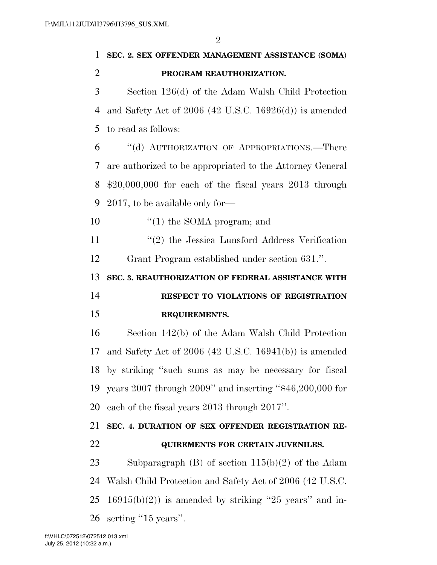| 1              | SEC. 2. SEX OFFENDER MANAGEMENT ASSISTANCE (SOMA)          |
|----------------|------------------------------------------------------------|
| $\overline{2}$ | PROGRAM REAUTHORIZATION.                                   |
| 3              | Section 126(d) of the Adam Walsh Child Protection          |
| $\overline{4}$ | and Safety Act of $2006$ (42 U.S.C. 16926(d)) is amended   |
| 5              | to read as follows:                                        |
| 6              | "(d) AUTHORIZATION OF APPROPRIATIONS.—There                |
| 7              | are authorized to be appropriated to the Attorney General  |
| 8              | $$20,000,000$ for each of the fiscal years $2013$ through  |
| 9              | $2017$ , to be available only for—                         |
| 10             | $\lq(1)$ the SOMA program; and                             |
| 11             | $\lq(2)$ the Jessica Lunsford Address Verification         |
| 12             | Grant Program established under section 631.".             |
| 13             | SEC. 3. REAUTHORIZATION OF FEDERAL ASSISTANCE WITH         |
|                |                                                            |
| 14             | RESPECT TO VIOLATIONS OF REGISTRATION                      |
| 15             | REQUIREMENTS.                                              |
| 16             | Section 142(b) of the Adam Walsh Child Protection          |
| 17             | and Safety Act of $2006$ (42 U.S.C. 16941(b)) is amended   |
|                | 18 by striking "such sums as may be necessary for fiscal   |
| 19             | years 2007 through 2009" and inserting " $$46,200,000$ for |
| 20             | each of the fiscal years 2013 through 2017".               |
| 21             | SEC. 4. DURATION OF SEX OFFENDER REGISTRATION RE-          |
| 22             | <b>QUIREMENTS FOR CERTAIN JUVENILES.</b>                   |
| 23             | Subparagraph $(B)$ of section $115(b)(2)$ of the Adam      |
| 24             | Walsh Child Protection and Safety Act of 2006 (42 U.S.C.   |
| 25             | $16915(b)(2)$ is amended by striking "25 years" and in-    |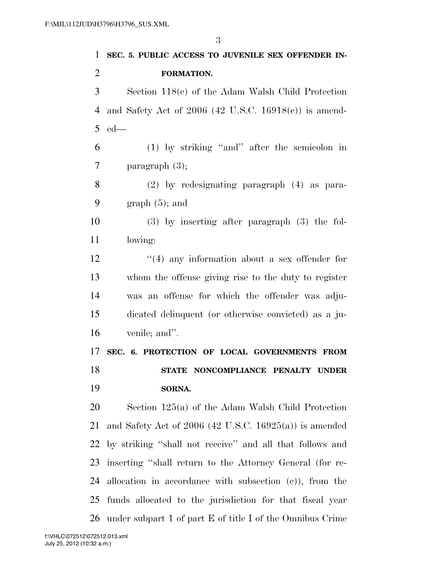| 1              | SEC. 5. PUBLIC ACCESS TO JUVENILE SEX OFFENDER IN-        |
|----------------|-----------------------------------------------------------|
| $\overline{2}$ | FORMATION.                                                |
| 3              | Section $118(c)$ of the Adam Walsh Child Protection       |
| 4              | and Safety Act of $2006$ (42 U.S.C. 16918(c)) is amend-   |
| 5              | $ed$ —                                                    |
| 6              | $(1)$ by striking "and" after the semicolon in            |
| 7              | paragraph $(3)$ ;                                         |
| 8              | $(2)$ by redesignating paragraph $(4)$ as para-           |
| 9              | $graph(5)$ ; and                                          |
| 10             | $(3)$ by inserting after paragraph $(3)$ the fol-         |
| 11             | lowing:                                                   |
| 12             | $\cdot$ (4) any information about a sex offender for      |
| 13             | whom the offense giving rise to the duty to register      |
| 14             | was an offense for which the offender was adju-           |
| 15             | dicated delinquent (or otherwise convicted) as a ju-      |
| 16             | venile; and".                                             |
| 17             | SEC. 6. PROTECTION OF LOCAL GOVERNMENTS FROM              |
| 18             | STATE NONCOMPLIANCE PENALTY UNDER                         |
| 19             | SORNA.                                                    |
| 20             | Section 125(a) of the Adam Walsh Child Protection         |
| 21             | and Safety Act of $2006$ (42 U.S.C. 16925(a)) is amended  |
| 22             | by striking "shall not receive" and all that follows and  |
| 23             | inserting "shall return to the Attorney General (for re-  |
| 24             | allocation in accordance with subsection $(e)$ , from the |
| 25             | funds allocated to the jurisdiction for that fiscal year  |
| 26             | under subpart 1 of part E of title I of the Omnibus Crime |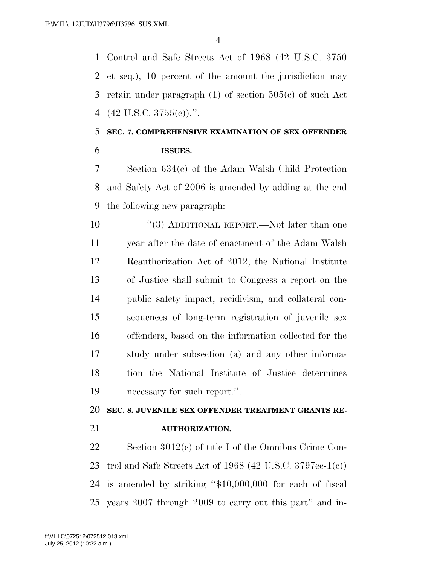Control and Safe Streets Act of 1968 (42 U.S.C. 3750 et seq.), 10 percent of the amount the jurisdiction may retain under paragraph (1) of section 505(c) of such Act (42 U.S.C. 3755(c)).''.

# **SEC. 7. COMPREHENSIVE EXAMINATION OF SEX OFFENDER ISSUES.**

 Section 634(c) of the Adam Walsh Child Protection and Safety Act of 2006 is amended by adding at the end the following new paragraph:

 $(3)$  ADDITIONAL REPORT.—Not later than one year after the date of enactment of the Adam Walsh Reauthorization Act of 2012, the National Institute of Justice shall submit to Congress a report on the public safety impact, recidivism, and collateral con- sequences of long-term registration of juvenile sex offenders, based on the information collected for the study under subsection (a) and any other informa- tion the National Institute of Justice determines necessary for such report.''.

### **SEC. 8. JUVENILE SEX OFFENDER TREATMENT GRANTS RE-**

**AUTHORIZATION.** 

 Section 3012(c) of title I of the Omnibus Crime Con- trol and Safe Streets Act of 1968 (42 U.S.C. 3797ee-1(c)) is amended by striking ''\$10,000,000 for each of fiscal years 2007 through 2009 to carry out this part'' and in-